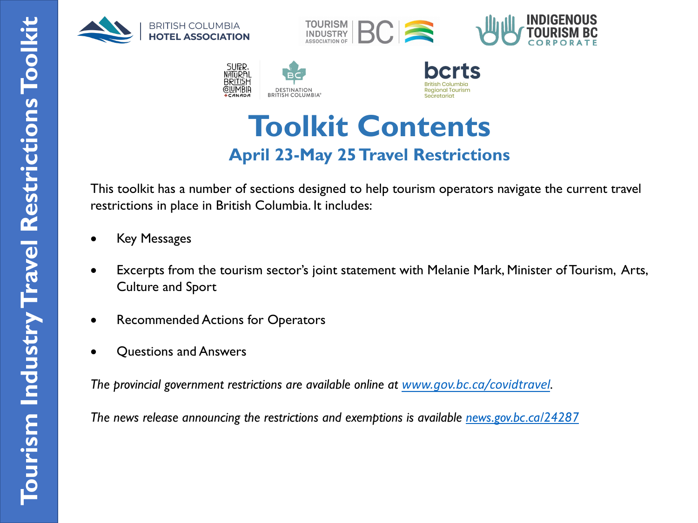







### **Toolkit Co[ntents](http://www.gov.bc.ca/covidtravel) April 23-May 25 Travel Restrictions**

This toolkit has a number of sections designed to help tourism operators navigate the curre restrictions in place in British Columbia. It includes:

- **Key Messages**
- Excerpts from the tourism sector's joint statement with Melanie Mark, Minister of Tour Culture and Sport
- Recommended Actions for Operators
- Questions and Answers

*The provincial government restrictions are available online at www.gov.bc.ca/covidtravel.*

*The news release announcing the restrictions and exemptions is available news.gov.bc.ca/24287*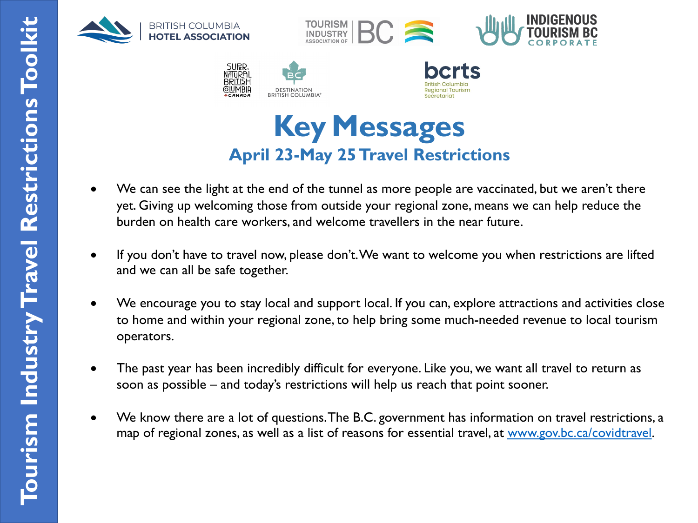







- We can see the light at the end of the tunnel as more people are vaccinated, but we are yet. Giving up welcoming those from outside your regional zone, means we can help re burden on health care workers, and welcome travellers in the near future.
- If you don't have to travel now, please don't. We want to welcome you when restriction and we can all be safe together.
- We encourage you to stay local and support local. If you can, explore attractions and a to home and within your regional zone, to help bring some much-needed revenue to lo operators.
- The past year has been incredibly difficult for everyone. Like you, we want all travel to soon as possible – and today's restrictions will help us reach that point sooner.
- We know there are a lot of questions. The B.C. government has information on travel restrictions, we map of regional zones, as well as a list of reasons for essential travel, at www.gov.bc.ca/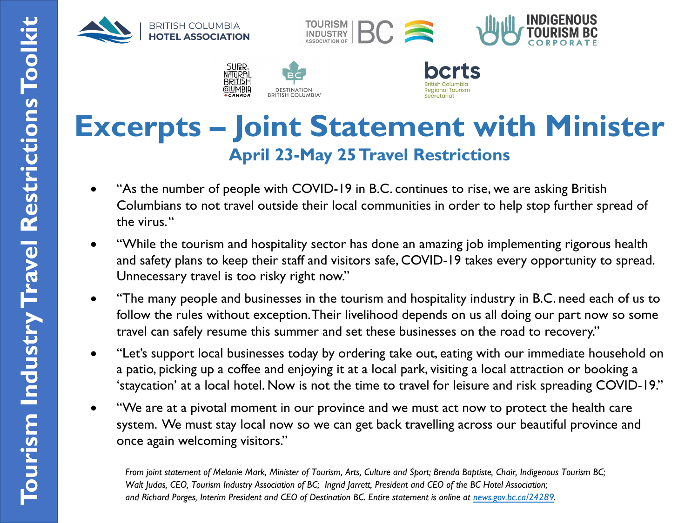







# **Excerpts – Joint Statement with Mir April 23-May 25 Travel Restrictions**

- "As the number of people with COVID-19 in B.C. continues to rise, we are asking Brit Columbians to not travel outside their local communities in order to help stop further the virus. "
- "While the tourism and hospitality sector has done an amazing job implementing rigor and safety plans to keep their staff and visitors safe, COVID-19 t[akes every oppo](https://news.gov.bc.ca/24289)rtunity Unnecessary travel is too risky right now."
- "The many people and businesses in the tourism and hospitality industry in B.C. need  $\epsilon$ follow the rules without exception. Their livelihood depends on us all doing our part no travel can safely resume this summer and set these businesses on the road to recovery
- "Let's support local businesses today by ordering take out, eating with our immediate h a patio, picking up a coffee and enjoying it at a local park, visiting a local attraction or bo 'staycation' at a local hotel. Now is not the time to travel for leisure and risk spreading
- "We are at a pivotal moment in our province and we must act now to protect the heal system. We must stay local now so we can get back travelling across our beautiful prov once again welcoming visitors."

*From joint statement of Melanie Mark, Minister of Tourism, Arts, Culture and Sport; Brenda Baptiste, Chair, Indigenous Tourism Walt Judas, CEO, Tourism Industry Association of BC; Ingrid Jarrett, President and CEO of the BC Hotel Association; and Richard Porges, Interim President and CEO of Destination BC. Entire statement is online at news.gov.bc.ca/24289.*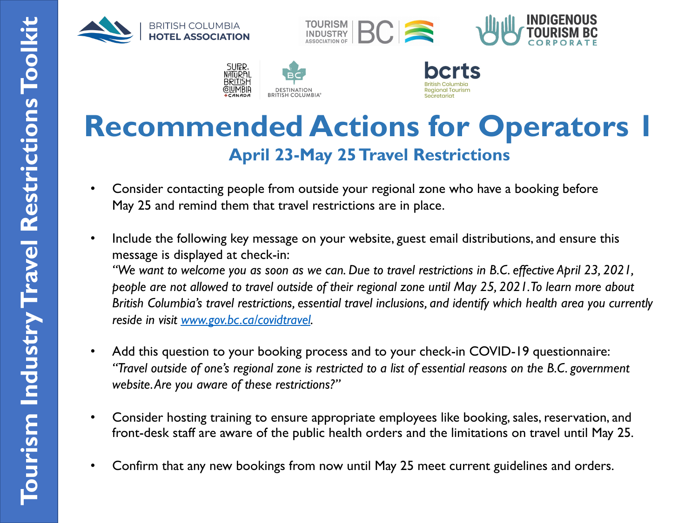









# **Recommended Actions for Operators April 23-May 25 Travel Restrictions**

- Consider contacting people from outside your regional zone who have a booking before May 25 and remind them that travel restrictions are in place.
- Include the following key message on your website, guest email distributions, and ensure message is displayed at check-in: *"We want to welcome you as soon as we can. Due to travel restrictions in B.C. effective April 23, 2021, people are not allowed to travel outside of their regional zone until May 25, 2021. To learn more British Columbia's travel restrictions, essential travel inclusions, and identify which health area y reside in visit www.gov.bc.ca/covidtravel.*
- Add this question to your booking process and to your check-in COVID-19 questionna "Travel outside of one's regional zone is restricted to a list of essential reasons on the B.C. gove *website. Are you aware of these restrictions?"*
- Consider hosting training to ensure appropriate employees like booking, sales, reservati front-desk staff are aware of the public health orders and the limitations on travel until
- Confirm that any new bookings from now until May 25 meet current guidelines and ord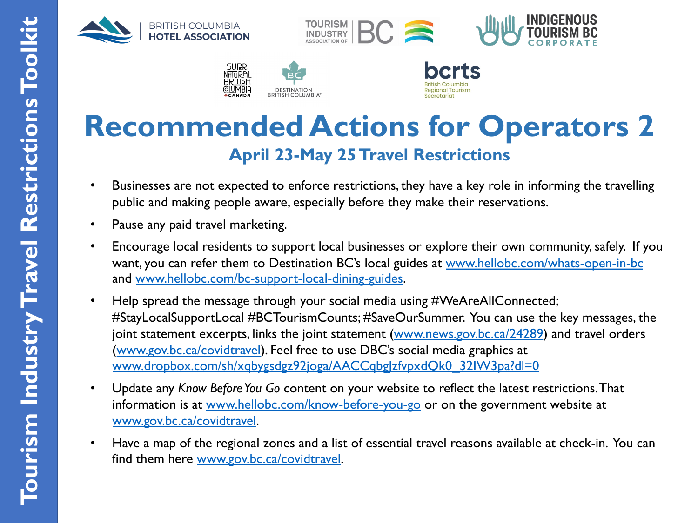









# **R[ecommended Actions for Ope](https://www.dropbox.com/sh/xqbygsdgz92joga/AACCqbgJzfvpxdQk0_32IW3pa?dl=0)rators [April 23-May 25 Travel R](http://www.hellobc.com/know-before-you-go)estrictions**

- [Businesses are not expecte](http://www.gov.bc.ca/covidtravel)d to enforce restrictions, they have a key role in informing the travelling the transmi public and making people aware, especially before they make their reservations.
- Pause any paid travel marketing.
- Encourage local residents to support local businesses or explore their own community, want, you can refer them to Destination BC's local guides at www.hellobc.com/whats-o and www.hellobc.com/bc-support-local-dining-guides.
- Help spread the message through your social media using #WeAreAllConnected; #StayLocalSupportLocal #BCTourismCounts; #SaveOurSummer. You can use the key m joint statement excerpts, links the joint statement (www.news.gov.bc.ca/24289) and trav (www.gov.bc.ca/covidtravel). Feel free to use DBC's social media graphics at www.dropbox.com/sh/xqbygsdgz92joga/AACCqbg|zfvpxdQk0\_32IW3pa?dl=0
- Update any *Know Before You Go* content on your website to reflect the latest restrictions information is at www.hellobc.com/know-before-you-go or on the government website www.gov.bc.ca/covidtravel.
- Have a map of the regional zones and a list of essential travel reasons available at checkfind them here www.gov.bc.ca/covidtravel.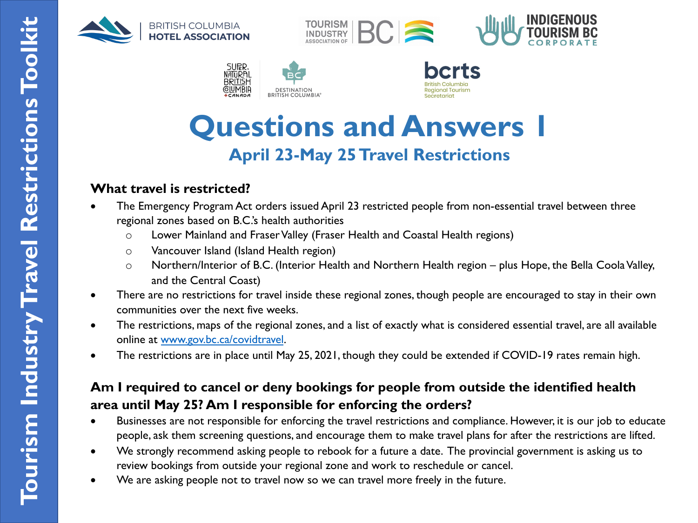









## **Questions and Answers 1 April 23-May 25 Travel Restrictions**

### **What travel is restricted?**

- The Emergency Program Act orders issued April 23 restricted people from non-essential travel betwe regional zones based on B.C.'s health authorities
	- o Lower Mainland and Fraser Valley (Fraser Health and Coastal Health regions)
	- o Vancouver Island (Island Health region)
	- $\circ$  Northern/Interior of B.C. (Interior Health and Northern Health region plus Hope, the Bella and the Central Coast)
- There are no restrictions for travel inside these regional zones, though people are encouraged to stay communities over the next five weeks.
- The restrictions, maps of the regional zones, and a list of exactly what is considered essential travel, are online at www.gov.bc.ca/covidtravel.
- The restrictions are in place until May 25, 2021, though they could be extended if COVID-19 rates re

### **Am I required to cancel or deny bookings for people from outside the identified area until May 25? Am I responsible for enforcing the orders?**

- Businesses are not responsible for enforcing the travel restrictions and compliance. However, it is our people, ask them screening questions, and encourage them to make travel plans for after the restrictions
- We strongly recommend asking people to rebook for a future a date. The provincial government is a review bookings from outside your regional zone and work to reschedule or cancel.
- We are asking people not to travel now so we can travel more freely in the future.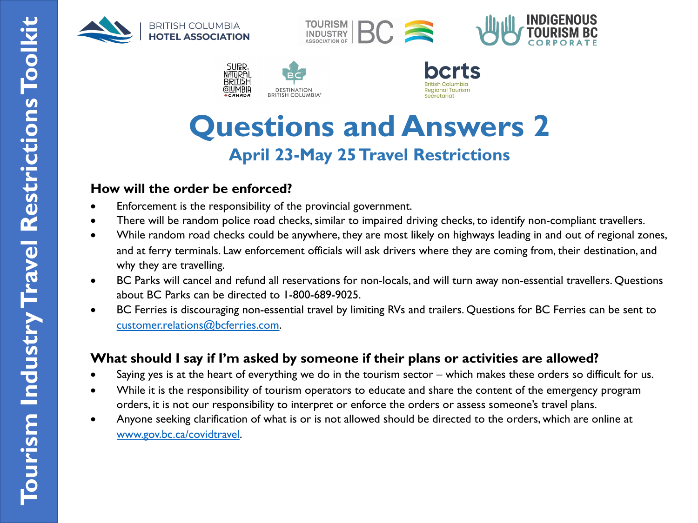









# **Questions and Answers 2 April 23-May 25 Travel Restrictions**

#### **Ho[w will the order be en](http://www.gov.bc.ca/covidtravel)forced?**

- Enforcement is the responsibility of the provincial government.
- There will be random police road checks, similar to impaired driving checks, to identify non-complian
- While random road checks could be anywhere, they are most likely on highways leading in and out of and at ferry terminals. Law enforcement officials will ask drivers where they are coming from, their de why they are travelling.
- BC Parks will cancel and refund all reservations for non-locals, and will turn away non-essential travel about BC Parks can be directed to 1-800-689-9025.
- BC Ferries is discouraging non-essential travel by limiting RVs and trailers. Questions for BC Ferries c customer.relations@bcferries.com.

#### **What should I say if I'm asked by someone if their plans or activities are allowed?**

- Saying yes is at the heart of everything we do in the tourism sector which makes these orders so d
- While it is the responsibility of tourism operators to educate and share the content of the emergenc orders, it is not our responsibility to interpret or enforce the orders or assess someone's travel plans.
- Anyone seeking clarification of what is or is not allowed should be directed to the orders, which are  $\epsilon$ www.gov.bc.ca/covidtravel.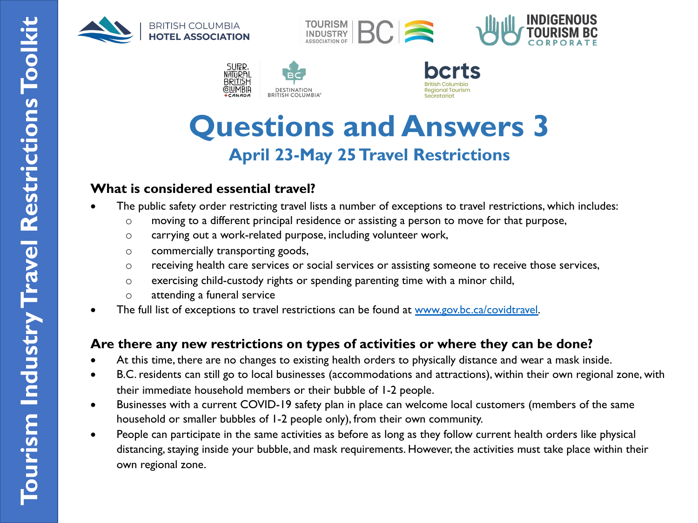









## **Questions and Answers 3 April 23-May 25 Travel Restrictions**

#### **What is considered essential travel?**

- The public safety order restricting travel lists a number of exceptions to travel restrictions, which incl
	- o moving to a different principal residence or assisting a person to move for that purpose,
		- o carrying out a work-related purpose, including volunteer work,
		- o commercially transporting goods,
		- $\circ$  receiving health care services or social services or assisting someone to receive those service
		- o exercising child-custody rights or spending parenting time with a minor child,
		- o attending a funeral service
- The full list of exceptions to travel restrictions can be found at www.gov.bc.ca/covidtravel.

#### **Are there any new restrictions on types of activities or where they can be done?**

- At this time, there are no changes to existing health orders to physically distance and wear a mask inst
- B.C. residents can still go to local businesses (accommodations and attractions), within their own regional  $\alpha$ their immediate household members or their bubble of 1-2 people.
- Businesses with a current COVID-19 safety plan in place can welcome local customers (members of household or smaller bubbles of 1-2 people only), from their own community.
- People can participate in the same activities as before as long as they follow current health orders like distancing, staying inside your bubble, and mask requirements. However, the activities must take place own regional zone.